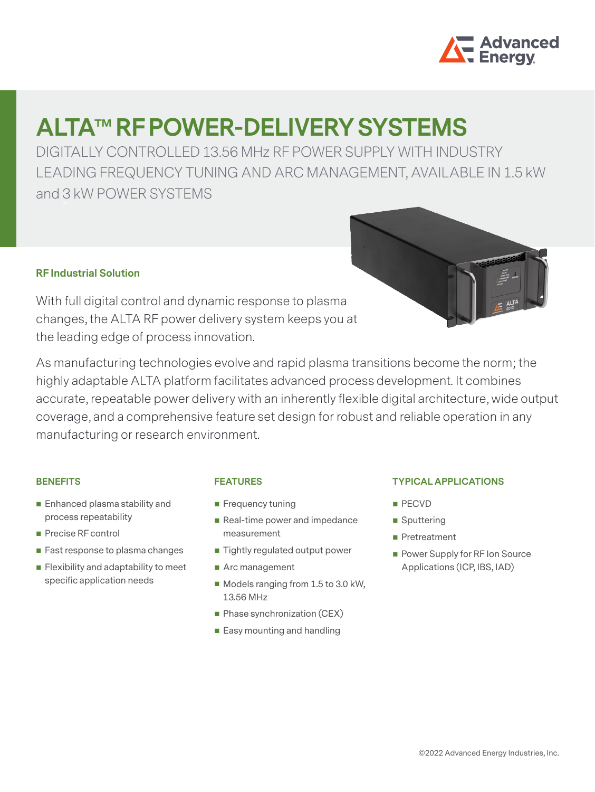

# **ALTA™ RF POWER-DELIVERY SYSTEMS**

DIGITALLY CONTROLLED 13.56 MHz RF POWER SUPPLY WITH INDUSTRY LEADING FREQUENCY TUNING AND ARC MANAGEMENT, AVAILABLE IN 1.5 kW and 3 kW POWER SYSTEMS

# **RF Industrial Solution**

With full digital control and dynamic response to plasma changes, the ALTA RF power delivery system keeps you at the leading edge of process innovation.



As manufacturing technologies evolve and rapid plasma transitions become the norm; the highly adaptable ALTA platform facilitates advanced process development. It combines accurate, repeatable power delivery with an inherently flexible digital architecture, wide output coverage, and a comprehensive feature set design for robust and reliable operation in any manufacturing or research environment.

#### **BENEFITS**

- Enhanced plasma stability and process repeatability
- Precise RF control
- Fast response to plasma changes
- **Flexibility and adaptability to meet** specific application needs

### **FEATURES**

- **Frequency tuning**
- Real-time power and impedance measurement
- Tightly regulated output power
- Arc management
- Models ranging from 1.5 to 3.0 kW, 13.56 MHz
- **Phase synchronization (CEX)**
- $\blacksquare$  Easy mounting and handling

#### **TYPICAL APPLICATIONS**

- **PECVD**
- Sputtering
- **Pretreatment**
- **Power Supply for RF Ion Source** Applications (ICP, IBS, IAD)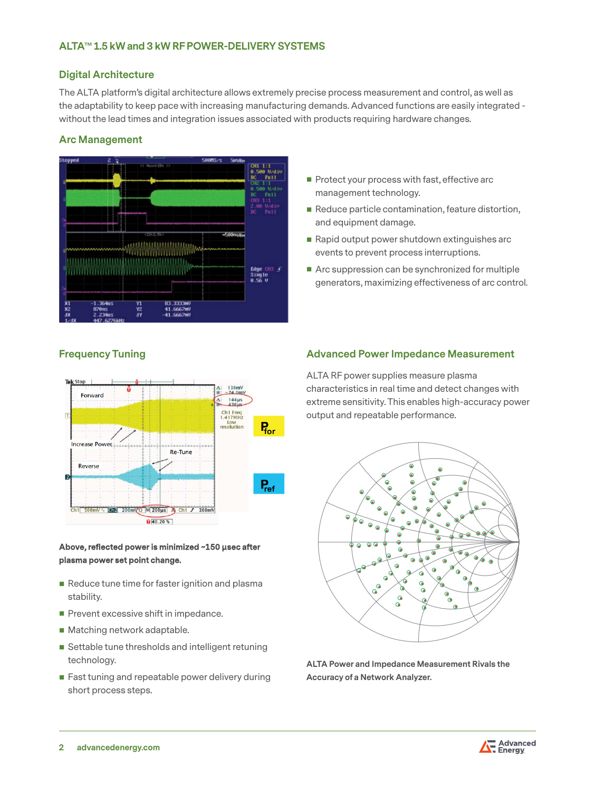### **ALTA™ 1.5 kW and 3 kW RF POWER-DELIVERY SYSTEMS**

#### **Digital Architecture**

The ALTA platform's digital architecture allows extremely precise process measurement and control, as well as the adaptability to keep pace with increasing manufacturing demands. Advanced functions are easily integrated without the lead times and integration issues associated with products requiring hardware changes.

#### **Arc Management**



- Protect your process with fast, effective arc management technology.
- Reduce particle contamination, feature distortion, and equipment damage.
- Rapid output power shutdown extinguishes arc events to prevent process interruptions.
- Arc suppression can be synchronized for multiple generators, maximizing effectiveness of arc control.



#### **Above, reflected power is minimized ~150 µsec after plasma power set point change.**

- Reduce tune time for faster ignition and plasma stability.
- $\blacksquare$  Prevent excessive shift in impedance.
- Matching network adaptable.
- Settable tune thresholds and intelligent retuning technology.
- **Fast tuning and repeatable power delivery during** short process steps.

### **Frequency Tuning Advanced Power Impedance Measurement**

ALTA RF power supplies measure plasma characteristics in real time and detect changes with extreme sensitivity. This enables high-accuracy power output and repeatable performance.



**ALTA Power and Impedance Measurement Rivals the Accuracy of a Network Analyzer.**

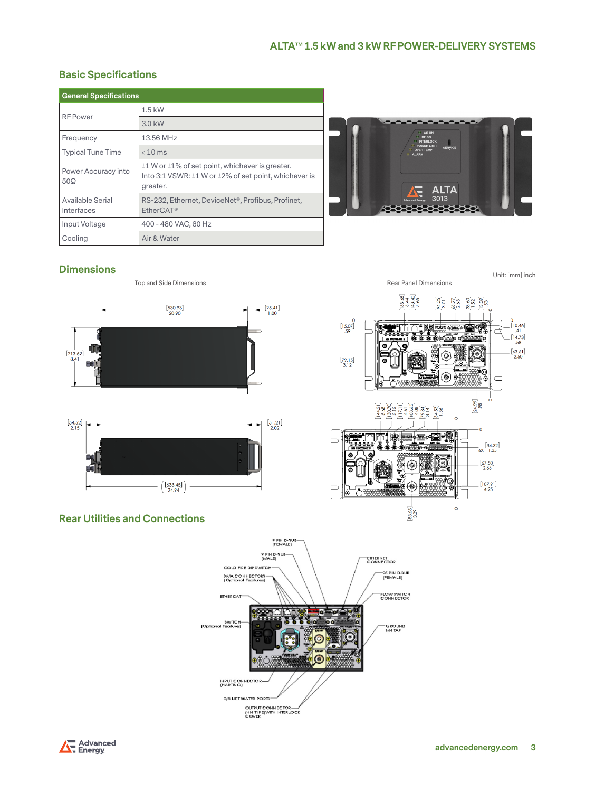## **Basic Specifications**

| <b>General Specifications</b>     |                                                                                                                                 |
|-----------------------------------|---------------------------------------------------------------------------------------------------------------------------------|
| <b>RF</b> Power                   | $1.5$ kW                                                                                                                        |
|                                   | $3.0$ kW                                                                                                                        |
| Frequency                         | 13.56 MHz                                                                                                                       |
| <b>Typical Tune Time</b>          | $< 10$ ms                                                                                                                       |
| Power Accuracy into<br>$50\Omega$ | $\pm 1$ W or $\pm 1\%$ of set point, whichever is greater.<br>Into 3:1 VSWR: ±1 W or ±2% of set point, whichever is<br>greater. |
| Available Serial<br>Interfaces    | RS-232, Ethernet, DeviceNet <sup>®</sup> , Profibus, Profinet,<br>EtherCAT <sup>®</sup>                                         |
| Input Voltage                     | 400 - 480 VAC, 60 Hz                                                                                                            |
| Cooling                           | Air & Water                                                                                                                     |



Unit: [mm] inch

### **Dimensions**







# **Rear Utilities and Connections**